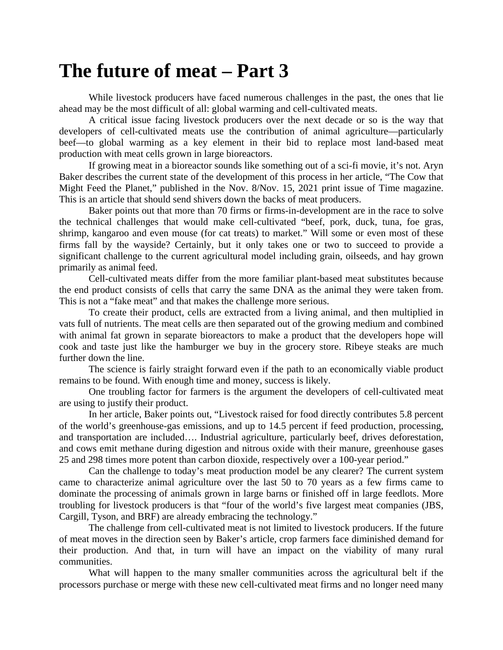## **The future of meat – Part 3**

While livestock producers have faced numerous challenges in the past, the ones that lie ahead may be the most difficult of all: global warming and cell-cultivated meats.

A critical issue facing livestock producers over the next decade or so is the way that developers of cell-cultivated meats use the contribution of animal agriculture—particularly beef—to global warming as a key element in their bid to replace most land-based meat production with meat cells grown in large bioreactors.

If growing meat in a bioreactor sounds like something out of a sci-fi movie, it's not. Aryn Baker describes the current state of the development of this process in her article, "The Cow that Might Feed the Planet," published in the Nov. 8/Nov. 15, 2021 print issue of Time magazine. This is an article that should send shivers down the backs of meat producers.

Baker points out that more than 70 firms or firms-in-development are in the race to solve the technical challenges that would make cell-cultivated "beef, pork, duck, tuna, foe gras, shrimp, kangaroo and even mouse (for cat treats) to market." Will some or even most of these firms fall by the wayside? Certainly, but it only takes one or two to succeed to provide a significant challenge to the current agricultural model including grain, oilseeds, and hay grown primarily as animal feed.

Cell-cultivated meats differ from the more familiar plant-based meat substitutes because the end product consists of cells that carry the same DNA as the animal they were taken from. This is not a "fake meat" and that makes the challenge more serious.

To create their product, cells are extracted from a living animal, and then multiplied in vats full of nutrients. The meat cells are then separated out of the growing medium and combined with animal fat grown in separate bioreactors to make a product that the developers hope will cook and taste just like the hamburger we buy in the grocery store. Ribeye steaks are much further down the line.

The science is fairly straight forward even if the path to an economically viable product remains to be found. With enough time and money, success is likely.

One troubling factor for farmers is the argument the developers of cell-cultivated meat are using to justify their product.

In her article, Baker points out, "Livestock raised for food directly contributes 5.8 percent of the world's greenhouse-gas emissions, and up to 14.5 percent if feed production, processing, and transportation are included…. Industrial agriculture, particularly beef, drives deforestation, and cows emit methane during digestion and nitrous oxide with their manure, greenhouse gases 25 and 298 times more potent than carbon dioxide, respectively over a 100-year period."

Can the challenge to today's meat production model be any clearer? The current system came to characterize animal agriculture over the last 50 to 70 years as a few firms came to dominate the processing of animals grown in large barns or finished off in large feedlots. More troubling for livestock producers is that "four of the world's five largest meat companies (JBS, Cargill, Tyson, and BRF) are already embracing the technology."

The challenge from cell-cultivated meat is not limited to livestock producers. If the future of meat moves in the direction seen by Baker's article, crop farmers face diminished demand for their production. And that, in turn will have an impact on the viability of many rural communities.

What will happen to the many smaller communities across the agricultural belt if the processors purchase or merge with these new cell-cultivated meat firms and no longer need many